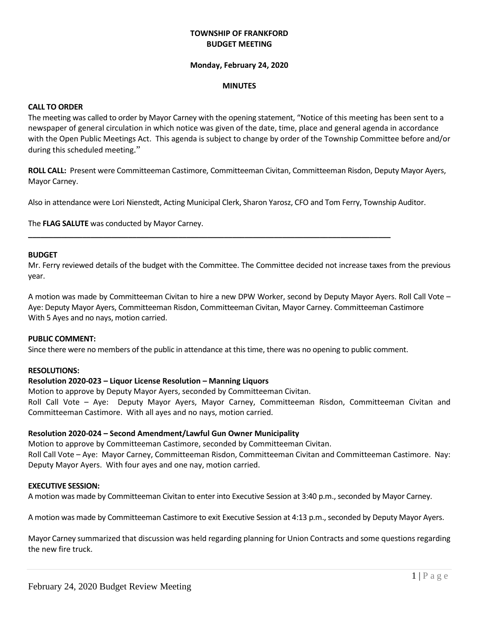## **TOWNSHIP OF FRANKFORD BUDGET MEETING**

#### **Monday, February 24, 2020**

#### **MINUTES**

#### **CALL TO ORDER**

The meeting was called to order by Mayor Carney with the opening statement, "Notice of this meeting has been sent to a newspaper of general circulation in which notice was given of the date, time, place and general agenda in accordance with the Open Public Meetings Act. This agenda is subject to change by order of the Township Committee before and/or during this scheduled meeting."

**ROLL CALL:** Present were Committeeman Castimore, Committeeman Civitan, Committeeman Risdon, Deputy Mayor Ayers, Mayor Carney.

Also in attendance were Lori Nienstedt, Acting Municipal Clerk, Sharon Yarosz, CFO and Tom Ferry, Township Auditor.

**\_\_\_\_\_\_\_\_\_\_\_\_\_\_\_\_\_\_\_\_\_\_\_\_\_\_\_\_\_\_\_\_\_\_\_\_\_\_\_\_\_\_\_\_\_\_\_\_\_\_\_\_\_\_\_\_\_\_\_\_\_\_\_\_\_\_\_\_\_\_\_\_\_\_\_\_\_\_\_\_\_\_\_\_\_\_\_**

The **FLAG SALUTE** was conducted by Mayor Carney.

#### **BUDGET**

Mr. Ferry reviewed details of the budget with the Committee. The Committee decided not increase taxes from the previous year.

A motion was made by Committeeman Civitan to hire a new DPW Worker, second by Deputy Mayor Ayers. Roll Call Vote – Aye: Deputy Mayor Ayers, Committeeman Risdon, Committeeman Civitan, Mayor Carney. Committeeman Castimore With 5 Ayes and no nays, motion carried.

#### **PUBLIC COMMENT:**

Since there were no members of the public in attendance at this time, there was no opening to public comment.

#### **RESOLUTIONS:**

## **Resolution 2020-023 – Liquor License Resolution – Manning Liquors**

Motion to approve by Deputy Mayor Ayers, seconded by Committeeman Civitan. Roll Call Vote – Aye: Deputy Mayor Ayers, Mayor Carney, Committeeman Risdon, Committeeman Civitan and Committeeman Castimore. With all ayes and no nays, motion carried.

#### **Resolution 2020-024 – Second Amendment/Lawful Gun Owner Municipality**

Motion to approve by Committeeman Castimore, seconded by Committeeman Civitan. Roll Call Vote – Aye: Mayor Carney, Committeeman Risdon, Committeeman Civitan and Committeeman Castimore. Nay: Deputy Mayor Ayers. With four ayes and one nay, motion carried.

#### **EXECUTIVE SESSION:**

A motion was made by Committeeman Civitan to enter into Executive Session at 3:40 p.m., seconded by Mayor Carney.

A motion was made by Committeeman Castimore to exit Executive Session at 4:13 p.m., seconded by Deputy Mayor Ayers.

Mayor Carney summarized that discussion was held regarding planning for Union Contracts and some questions regarding the new fire truck.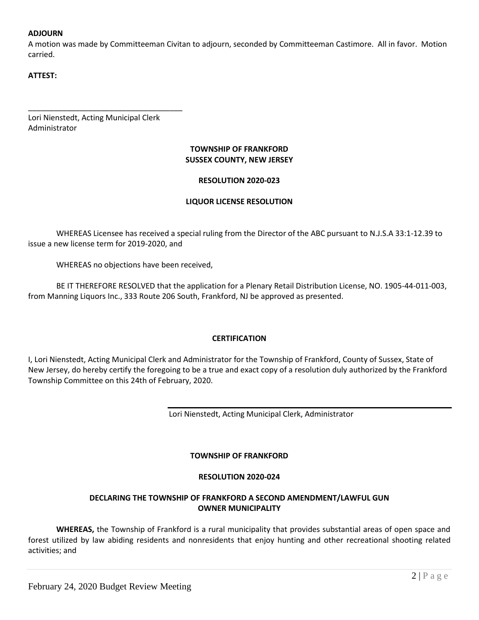## **ADJOURN**

A motion was made by Committeeman Civitan to adjourn, seconded by Committeeman Castimore. All in favor. Motion carried.

# **ATTEST:**

Lori Nienstedt, Acting Municipal Clerk Administrator

\_\_\_\_\_\_\_\_\_\_\_\_\_\_\_\_\_\_\_\_\_\_\_\_\_\_\_\_\_\_\_\_\_\_\_\_

# **TOWNSHIP OF FRANKFORD SUSSEX COUNTY, NEW JERSEY**

## **RESOLUTION 2020-023**

## **LIQUOR LICENSE RESOLUTION**

WHEREAS Licensee has received a special ruling from the Director of the ABC pursuant to N.J.S.A 33:1-12.39 to issue a new license term for 2019-2020, and

WHEREAS no objections have been received,

BE IT THEREFORE RESOLVED that the application for a Plenary Retail Distribution License, NO. 1905-44-011-003, from Manning Liquors Inc., 333 Route 206 South, Frankford, NJ be approved as presented.

## **CERTIFICATION**

I, Lori Nienstedt, Acting Municipal Clerk and Administrator for the Township of Frankford, County of Sussex, State of New Jersey, do hereby certify the foregoing to be a true and exact copy of a resolution duly authorized by the Frankford Township Committee on this 24th of February, 2020.

Lori Nienstedt, Acting Municipal Clerk, Administrator

## **TOWNSHIP OF FRANKFORD**

## **RESOLUTION 2020-024**

## **DECLARING THE TOWNSHIP OF FRANKFORD A SECOND AMENDMENT/LAWFUL GUN OWNER MUNICIPALITY**

**WHEREAS,** the Township of Frankford is a rural municipality that provides substantial areas of open space and forest utilized by law abiding residents and nonresidents that enjoy hunting and other recreational shooting related activities; and